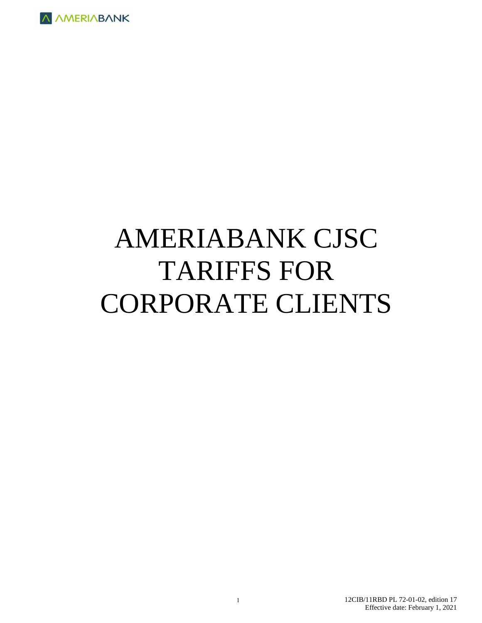

# AMERIABANK CJSC TARIFFS FOR CORPORATE CLIENTS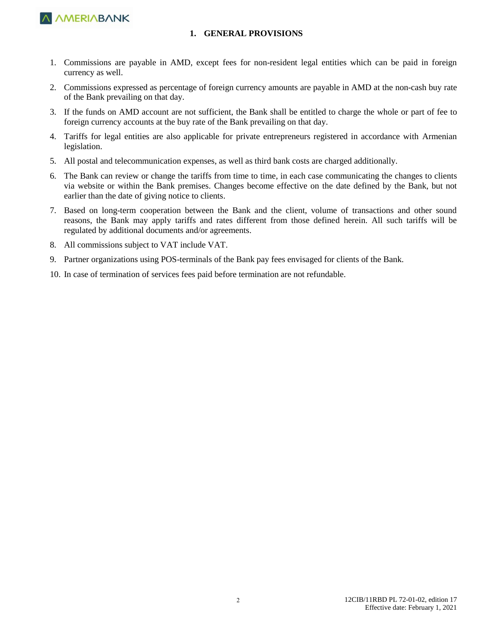

#### **1. GENERAL PROVISIONS**

- 1. Commissions are payable in AMD, except fees for non-resident legal entities which can be paid in foreign currency as well.
- 2. Commissions expressed as percentage of foreign currency amounts are payable in AMD at the non-cash buy rate of the Bank prevailing on that day.
- 3. If the funds on AMD account are not sufficient, the Bank shall be entitled to charge the whole or part of fee to foreign currency accounts at the buy rate of the Bank prevailing on that day.
- 4. Tariffs for legal entities are also applicable for private entrepreneurs registered in accordance with Armenian legislation.
- 5. All postal and telecommunication expenses, as well as third bank costs are charged additionally.
- 6. The Bank can review or change the tariffs from time to time, in each case communicating the changes to clients via website or within the Bank premises. Changes become effective on the date defined by the Bank, but not earlier than the date of giving notice to clients.
- 7. Based on long-term cooperation between the Bank and the client, volume of transactions and other sound reasons, the Bank may apply tariffs and rates different from those defined herein. All such tariffs will be regulated by additional documents and/or agreements.
- 8. All commissions subject to VAT include VAT.
- 9. Partner organizations using POS-terminals of the Bank pay fees envisaged for clients of the Bank.
- 10. In case of termination of services fees paid before termination are not refundable.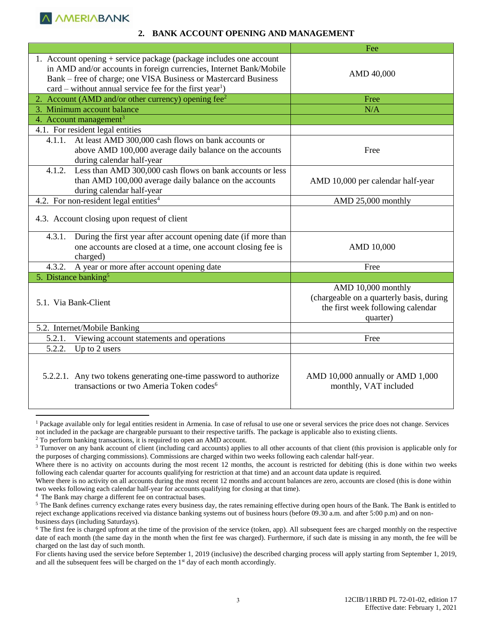**A AMERIABANK** 

#### **2. BANK ACCOUNT OPENING AND MANAGEMENT**

|                                                                                                                                                                                                                                                                                      | Fee                                                                                                             |
|--------------------------------------------------------------------------------------------------------------------------------------------------------------------------------------------------------------------------------------------------------------------------------------|-----------------------------------------------------------------------------------------------------------------|
| 1. Account opening + service package (package includes one account<br>in AMD and/or accounts in foreign currencies, Internet Bank/Mobile<br>Bank – free of charge; one VISA Business or Mastercard Business<br>$card$ – without annual service fee for the first year <sup>1</sup> ) | AMD 40,000                                                                                                      |
| 2. Account (AMD and/or other currency) opening fee <sup>2</sup>                                                                                                                                                                                                                      | Free                                                                                                            |
| 3. Minimum account balance                                                                                                                                                                                                                                                           | N/A                                                                                                             |
| 4. Account management <sup>3</sup>                                                                                                                                                                                                                                                   |                                                                                                                 |
| 4.1. For resident legal entities                                                                                                                                                                                                                                                     |                                                                                                                 |
| At least AMD 300,000 cash flows on bank accounts or<br>4.1.1.<br>above AMD 100,000 average daily balance on the accounts<br>during calendar half-year                                                                                                                                | Free                                                                                                            |
| 4.1.2. Less than AMD 300,000 cash flows on bank accounts or less<br>than AMD 100,000 average daily balance on the accounts<br>during calendar half-year                                                                                                                              | AMD 10,000 per calendar half-year                                                                               |
| 4.2. For non-resident legal entities <sup>4</sup>                                                                                                                                                                                                                                    | AMD 25,000 monthly                                                                                              |
| 4.3. Account closing upon request of client                                                                                                                                                                                                                                          |                                                                                                                 |
| 4.3.1. During the first year after account opening date (if more than<br>one accounts are closed at a time, one account closing fee is<br>charged)                                                                                                                                   | AMD 10,000                                                                                                      |
| 4.3.2.<br>A year or more after account opening date                                                                                                                                                                                                                                  | Free                                                                                                            |
| 5. Distance banking <sup>5</sup>                                                                                                                                                                                                                                                     |                                                                                                                 |
| 5.1. Via Bank-Client                                                                                                                                                                                                                                                                 | AMD 10,000 monthly<br>(chargeable on a quarterly basis, during<br>the first week following calendar<br>quarter) |
| 5.2. Internet/Mobile Banking                                                                                                                                                                                                                                                         |                                                                                                                 |
| Viewing account statements and operations<br>5.2.1.                                                                                                                                                                                                                                  | Free                                                                                                            |
| 5.2.2.<br>Up to 2 users                                                                                                                                                                                                                                                              |                                                                                                                 |
| 5.2.2.1. Any two tokens generating one-time password to authorize<br>transactions or two Ameria Token codes <sup>6</sup>                                                                                                                                                             | AMD 10,000 annually or AMD 1,000<br>monthly, VAT included                                                       |

<sup>&</sup>lt;sup>1</sup> Package available only for legal entities resident in Armenia. In case of refusal to use one or several services the price does not change. Services not included in the package are chargeable pursuant to their respective tariffs. The package is applicable also to existing clients. <sup>2</sup> To perform banking transactions, it is required to open an AMD account.

<sup>4</sup> The Bank may charge a different fee on contractual bases.

 $\overline{a}$ 

<sup>&</sup>lt;sup>3</sup> Turnover on any bank account of client (including card accounts) applies to all other accounts of that client (this provision is applicable only for the purposes of charging commissions). Commissions are charged within two weeks following each calendar half-year.

Where there is no activity on accounts during the most recent 12 months, the account is restricted for debiting (this is done within two weeks following each calendar quarter for accounts qualifying for restriction at that time) and an account data update is required.

Where there is no activity on all accounts during the most recent 12 months and account balances are zero, accounts are closed (this is done within two weeks following each calendar half-year for accounts qualifying for closing at that time).

<sup>&</sup>lt;sup>5</sup> The Bank defines currency exchange rates every business day, the rates remaining effective during open hours of the Bank. The Bank is entitled to reject exchange applications received via distance banking systems out of business hours (before 09.30 a.m. and after 5:00 p.m) and on nonbusiness days (including Saturdays).

 $6$  The first fee is charged upfront at the time of the provision of the service (token, app). All subsequent fees are charged monthly on the respective date of each month (the same day in the month when the first fee was charged). Furthermore, if such date is missing in any month, the fee will be charged on the last day of such month.

For clients having used the service before September 1, 2019 (inclusive) the described charging process will apply starting from September 1, 2019, and all the subsequent fees will be charged on the  $1<sup>st</sup>$  day of each month accordingly.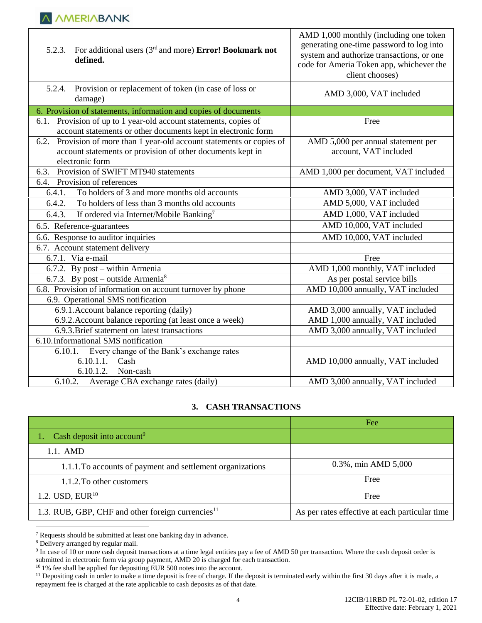| 5.2.4. Provision or replacement of token (in case of loss or<br>AMD 3,000, VAT included<br>damage)<br>6. Provision of statements, information and copies of documents<br>6.1. Provision of up to 1 year-old account statements, copies of<br>Free<br>account statements or other documents kept in electronic form<br>Provision of more than 1 year-old account statements or copies of<br>AMD 5,000 per annual statement per<br>6.2.<br>account statements or provision of other documents kept in<br>account, VAT included<br>electronic form<br>6.3. Provision of SWIFT MT940 statements<br>AMD 1,000 per document, VAT included<br>6.4. Provision of references<br>To holders of 3 and more months old accounts<br>6.4.1.<br>AMD 3,000, VAT included<br>AMD 5,000, VAT included<br>To holders of less than 3 months old accounts<br>6.4.2.<br>AMD 1,000, VAT included<br>If ordered via Internet/Mobile Banking <sup>7</sup><br>6.4.3.<br>AMD 10,000, VAT included<br>6.5. Reference-guarantees<br>6.6. Response to auditor inquiries<br>AMD 10,000, VAT included<br>6.7. Account statement delivery<br>6.7.1. Via e-mail<br>Free<br>6.7.2. By post – within Armenia<br>AMD 1,000 monthly, VAT included<br>6.7.3. By post – outside Armenia <sup>8</sup><br>As per postal service bills<br>6.8. Provision of information on account turnover by phone<br>AMD 10,000 annually, VAT included<br>6.9. Operational SMS notification<br>6.9.1. Account balance reporting (daily)<br>AMD 3,000 annually, VAT included<br>6.9.2. Account balance reporting (at least once a week)<br>AMD 1,000 annually, VAT included<br>AMD 3,000 annually, VAT included<br>6.9.3. Brief statement on latest transactions<br>6.10.Informational SMS notification<br>6.10.1. Every change of the Bank's exchange rates<br>6.10.1.1. Cash<br>AMD 10,000 annually, VAT included<br>6.10.1.2.<br>Non-cash<br>Average CBA exchange rates (daily)<br>6.10.2.<br>AMD 3,000 annually, VAT included | 5.2.3. For additional users $(3rd$ and more) <b>Error! Bookmark not</b><br>defined. | AMD 1,000 monthly (including one token<br>generating one-time password to log into<br>system and authorize transactions, or one<br>code for Ameria Token app, whichever the<br>client chooses) |
|--------------------------------------------------------------------------------------------------------------------------------------------------------------------------------------------------------------------------------------------------------------------------------------------------------------------------------------------------------------------------------------------------------------------------------------------------------------------------------------------------------------------------------------------------------------------------------------------------------------------------------------------------------------------------------------------------------------------------------------------------------------------------------------------------------------------------------------------------------------------------------------------------------------------------------------------------------------------------------------------------------------------------------------------------------------------------------------------------------------------------------------------------------------------------------------------------------------------------------------------------------------------------------------------------------------------------------------------------------------------------------------------------------------------------------------------------------------------------------------------------------------------------------------------------------------------------------------------------------------------------------------------------------------------------------------------------------------------------------------------------------------------------------------------------------------------------------------------------------------------------------------------------------------------------------------------------------------------------|-------------------------------------------------------------------------------------|------------------------------------------------------------------------------------------------------------------------------------------------------------------------------------------------|
|                                                                                                                                                                                                                                                                                                                                                                                                                                                                                                                                                                                                                                                                                                                                                                                                                                                                                                                                                                                                                                                                                                                                                                                                                                                                                                                                                                                                                                                                                                                                                                                                                                                                                                                                                                                                                                                                                                                                                                          |                                                                                     |                                                                                                                                                                                                |
|                                                                                                                                                                                                                                                                                                                                                                                                                                                                                                                                                                                                                                                                                                                                                                                                                                                                                                                                                                                                                                                                                                                                                                                                                                                                                                                                                                                                                                                                                                                                                                                                                                                                                                                                                                                                                                                                                                                                                                          |                                                                                     |                                                                                                                                                                                                |
|                                                                                                                                                                                                                                                                                                                                                                                                                                                                                                                                                                                                                                                                                                                                                                                                                                                                                                                                                                                                                                                                                                                                                                                                                                                                                                                                                                                                                                                                                                                                                                                                                                                                                                                                                                                                                                                                                                                                                                          |                                                                                     |                                                                                                                                                                                                |
|                                                                                                                                                                                                                                                                                                                                                                                                                                                                                                                                                                                                                                                                                                                                                                                                                                                                                                                                                                                                                                                                                                                                                                                                                                                                                                                                                                                                                                                                                                                                                                                                                                                                                                                                                                                                                                                                                                                                                                          |                                                                                     |                                                                                                                                                                                                |
|                                                                                                                                                                                                                                                                                                                                                                                                                                                                                                                                                                                                                                                                                                                                                                                                                                                                                                                                                                                                                                                                                                                                                                                                                                                                                                                                                                                                                                                                                                                                                                                                                                                                                                                                                                                                                                                                                                                                                                          |                                                                                     |                                                                                                                                                                                                |
|                                                                                                                                                                                                                                                                                                                                                                                                                                                                                                                                                                                                                                                                                                                                                                                                                                                                                                                                                                                                                                                                                                                                                                                                                                                                                                                                                                                                                                                                                                                                                                                                                                                                                                                                                                                                                                                                                                                                                                          |                                                                                     |                                                                                                                                                                                                |
|                                                                                                                                                                                                                                                                                                                                                                                                                                                                                                                                                                                                                                                                                                                                                                                                                                                                                                                                                                                                                                                                                                                                                                                                                                                                                                                                                                                                                                                                                                                                                                                                                                                                                                                                                                                                                                                                                                                                                                          |                                                                                     |                                                                                                                                                                                                |
|                                                                                                                                                                                                                                                                                                                                                                                                                                                                                                                                                                                                                                                                                                                                                                                                                                                                                                                                                                                                                                                                                                                                                                                                                                                                                                                                                                                                                                                                                                                                                                                                                                                                                                                                                                                                                                                                                                                                                                          |                                                                                     |                                                                                                                                                                                                |
|                                                                                                                                                                                                                                                                                                                                                                                                                                                                                                                                                                                                                                                                                                                                                                                                                                                                                                                                                                                                                                                                                                                                                                                                                                                                                                                                                                                                                                                                                                                                                                                                                                                                                                                                                                                                                                                                                                                                                                          |                                                                                     |                                                                                                                                                                                                |
|                                                                                                                                                                                                                                                                                                                                                                                                                                                                                                                                                                                                                                                                                                                                                                                                                                                                                                                                                                                                                                                                                                                                                                                                                                                                                                                                                                                                                                                                                                                                                                                                                                                                                                                                                                                                                                                                                                                                                                          |                                                                                     |                                                                                                                                                                                                |
|                                                                                                                                                                                                                                                                                                                                                                                                                                                                                                                                                                                                                                                                                                                                                                                                                                                                                                                                                                                                                                                                                                                                                                                                                                                                                                                                                                                                                                                                                                                                                                                                                                                                                                                                                                                                                                                                                                                                                                          |                                                                                     |                                                                                                                                                                                                |
|                                                                                                                                                                                                                                                                                                                                                                                                                                                                                                                                                                                                                                                                                                                                                                                                                                                                                                                                                                                                                                                                                                                                                                                                                                                                                                                                                                                                                                                                                                                                                                                                                                                                                                                                                                                                                                                                                                                                                                          |                                                                                     |                                                                                                                                                                                                |
|                                                                                                                                                                                                                                                                                                                                                                                                                                                                                                                                                                                                                                                                                                                                                                                                                                                                                                                                                                                                                                                                                                                                                                                                                                                                                                                                                                                                                                                                                                                                                                                                                                                                                                                                                                                                                                                                                                                                                                          |                                                                                     |                                                                                                                                                                                                |
|                                                                                                                                                                                                                                                                                                                                                                                                                                                                                                                                                                                                                                                                                                                                                                                                                                                                                                                                                                                                                                                                                                                                                                                                                                                                                                                                                                                                                                                                                                                                                                                                                                                                                                                                                                                                                                                                                                                                                                          |                                                                                     |                                                                                                                                                                                                |
|                                                                                                                                                                                                                                                                                                                                                                                                                                                                                                                                                                                                                                                                                                                                                                                                                                                                                                                                                                                                                                                                                                                                                                                                                                                                                                                                                                                                                                                                                                                                                                                                                                                                                                                                                                                                                                                                                                                                                                          |                                                                                     |                                                                                                                                                                                                |
|                                                                                                                                                                                                                                                                                                                                                                                                                                                                                                                                                                                                                                                                                                                                                                                                                                                                                                                                                                                                                                                                                                                                                                                                                                                                                                                                                                                                                                                                                                                                                                                                                                                                                                                                                                                                                                                                                                                                                                          |                                                                                     |                                                                                                                                                                                                |
|                                                                                                                                                                                                                                                                                                                                                                                                                                                                                                                                                                                                                                                                                                                                                                                                                                                                                                                                                                                                                                                                                                                                                                                                                                                                                                                                                                                                                                                                                                                                                                                                                                                                                                                                                                                                                                                                                                                                                                          |                                                                                     |                                                                                                                                                                                                |
|                                                                                                                                                                                                                                                                                                                                                                                                                                                                                                                                                                                                                                                                                                                                                                                                                                                                                                                                                                                                                                                                                                                                                                                                                                                                                                                                                                                                                                                                                                                                                                                                                                                                                                                                                                                                                                                                                                                                                                          |                                                                                     |                                                                                                                                                                                                |
|                                                                                                                                                                                                                                                                                                                                                                                                                                                                                                                                                                                                                                                                                                                                                                                                                                                                                                                                                                                                                                                                                                                                                                                                                                                                                                                                                                                                                                                                                                                                                                                                                                                                                                                                                                                                                                                                                                                                                                          |                                                                                     |                                                                                                                                                                                                |
|                                                                                                                                                                                                                                                                                                                                                                                                                                                                                                                                                                                                                                                                                                                                                                                                                                                                                                                                                                                                                                                                                                                                                                                                                                                                                                                                                                                                                                                                                                                                                                                                                                                                                                                                                                                                                                                                                                                                                                          |                                                                                     |                                                                                                                                                                                                |
|                                                                                                                                                                                                                                                                                                                                                                                                                                                                                                                                                                                                                                                                                                                                                                                                                                                                                                                                                                                                                                                                                                                                                                                                                                                                                                                                                                                                                                                                                                                                                                                                                                                                                                                                                                                                                                                                                                                                                                          |                                                                                     |                                                                                                                                                                                                |
|                                                                                                                                                                                                                                                                                                                                                                                                                                                                                                                                                                                                                                                                                                                                                                                                                                                                                                                                                                                                                                                                                                                                                                                                                                                                                                                                                                                                                                                                                                                                                                                                                                                                                                                                                                                                                                                                                                                                                                          |                                                                                     |                                                                                                                                                                                                |
|                                                                                                                                                                                                                                                                                                                                                                                                                                                                                                                                                                                                                                                                                                                                                                                                                                                                                                                                                                                                                                                                                                                                                                                                                                                                                                                                                                                                                                                                                                                                                                                                                                                                                                                                                                                                                                                                                                                                                                          |                                                                                     |                                                                                                                                                                                                |

#### **3. CASH TRANSACTIONS**

|                                                               | Fee                                            |
|---------------------------------------------------------------|------------------------------------------------|
| Cash deposit into account <sup>9</sup>                        |                                                |
| $1.1.$ AMD                                                    |                                                |
| 1.1.1. To accounts of payment and settlement organizations    | 0.3%, min AMD 5,000                            |
| 1.1.2. To other customers                                     | Free                                           |
| 1.2. USD, $EUR^{10}$                                          | Free                                           |
| 1.3. RUB, GBP, CHF and other foreign currencies <sup>11</sup> | As per rates effective at each particular time |

 $7$  Requests should be submitted at least one banking day in advance.

 $\overline{a}$ 

<sup>&</sup>lt;sup>8</sup> Delivery arranged by regular mail.

<sup>&</sup>lt;sup>9</sup> In case of 10 or more cash deposit transactions at a time legal entities pay a fee of AMD 50 per transaction. Where the cash deposit order is submitted in electronic form via group payment, AMD 20 is charged for each transaction.

<sup>&</sup>lt;sup>10</sup> 1% fee shall be applied for depositing EUR 500 notes into the account.

<sup>&</sup>lt;sup>11</sup> Depositing cash in order to make a time deposit is free of charge. If the deposit is terminated early within the first 30 days after it is made, a repayment fee is charged at the rate applicable to cash deposits as of that date.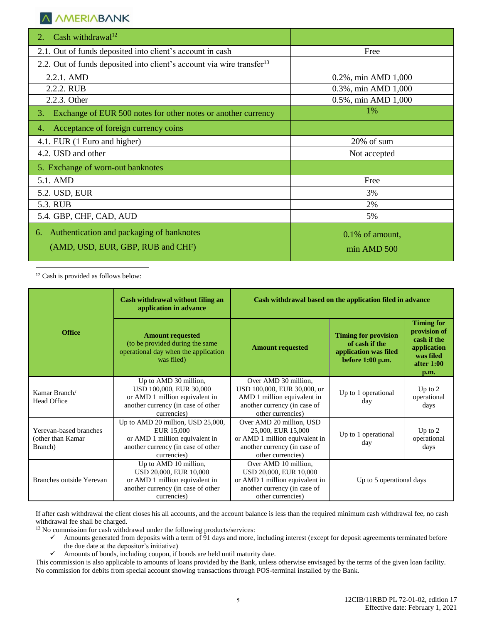## **A AMERIABANK**

| Cash withdrawal <sup>12</sup><br>2.                                               |                     |
|-----------------------------------------------------------------------------------|---------------------|
| 2.1. Out of funds deposited into client's account in cash                         | Free                |
| 2.2. Out of funds deposited into client's account via wire transfer <sup>13</sup> |                     |
| 2.2.1. AMD                                                                        | 0.2%, min AMD 1,000 |
| 2.2.2. RUB                                                                        | 0.3%, min AMD 1,000 |
| 2.2.3. Other                                                                      | 0.5%, min AMD 1,000 |
| Exchange of EUR 500 notes for other notes or another currency<br>3.               | 1%                  |
| Acceptance of foreign currency coins<br>4.                                        |                     |
| 4.1. EUR (1 Euro and higher)                                                      | 20% of sum          |
| 4.2. USD and other                                                                | Not accepted        |
| 5. Exchange of worn-out banknotes                                                 |                     |
| 5.1. AMD                                                                          | Free                |
| 5.2. USD, EUR                                                                     | 3%                  |
| 5.3. RUB                                                                          | 2%                  |
| 5.4. GBP, CHF, CAD, AUD                                                           | 5%                  |
| Authentication and packaging of banknotes<br>6.                                   | 0.1% of amount,     |
| (AMD, USD, EUR, GBP, RUB and CHF)                                                 | min AMD 500         |

 $\overline{a}$ <sup>12</sup> Cash is provided as follows below:

|                                                        | Cash withdrawal without filing an<br>application in advance                                                                             | Cash withdrawal based on the application filed in advance                                                                               |                                                                                                                                                                                                      |                                  |  |
|--------------------------------------------------------|-----------------------------------------------------------------------------------------------------------------------------------------|-----------------------------------------------------------------------------------------------------------------------------------------|------------------------------------------------------------------------------------------------------------------------------------------------------------------------------------------------------|----------------------------------|--|
| <b>Office</b>                                          | <b>Amount requested</b><br>(to be provided during the same<br>operational day when the application<br>was filed)                        | <b>Amount requested</b>                                                                                                                 | <b>Timing for</b><br>provision of<br><b>Timing for provision</b><br>cash if the<br>of cash if the<br>application<br>application was filed<br>was filed<br>before $1:00$ p.m.<br>after $1:00$<br>p.m. |                                  |  |
| Kamar Branch/<br><b>Head Office</b>                    | Up to AMD 30 million,<br>USD 100,000, EUR 30,000<br>or AMD 1 million equivalent in<br>another currency (in case of other<br>currencies) | Over AMD 30 million,<br>USD 100,000, EUR 30,000, or<br>AMD 1 million equivalent in<br>another currency (in case of<br>other currencies) | Up to 1 operational<br>day                                                                                                                                                                           | Up to $2$<br>operational<br>days |  |
| Yerevan-based branches<br>(other than Kamar<br>Branch) | Up to AMD 20 million, USD 25,000,<br>EUR 15,000<br>or AMD 1 million equivalent in<br>another currency (in case of other<br>currencies)  | Over AMD 20 million, USD<br>25,000, EUR 15,000<br>or AMD 1 million equivalent in<br>another currency (in case of<br>other currencies)   | Up to 1 operational<br>day                                                                                                                                                                           | Up to $2$<br>operational<br>days |  |
| Branches outside Yerevan                               | Up to AMD 10 million,<br>USD 20,000, EUR 10,000<br>or AMD 1 million equivalent in<br>another currency (in case of other<br>currencies)  | Over AMD 10 million,<br>USD 20,000, EUR 10,000<br>or AMD 1 million equivalent in<br>another currency (in case of<br>other currencies)   | Up to 5 operational days                                                                                                                                                                             |                                  |  |

If after cash withdrawal the client closes his all accounts, and the account balance is less than the required minimum cash withdrawal fee, no cash withdrawal fee shall be charged.

<sup>13</sup> No commission for cash withdrawal under the following products/services:

- $\checkmark$  Amounts generated from deposits with a term of 91 days and more, including interest (except for deposit agreements terminated before the due date at the depositor's initiative)
- $\checkmark$  Amounts of bonds, including coupon, if bonds are held until maturity date.

This commission is also applicable to amounts of loans provided by the Bank, unless otherwise envisaged by the terms of the given loan facility. No commission for debits from special account showing transactions through POS-terminal installed by the Bank.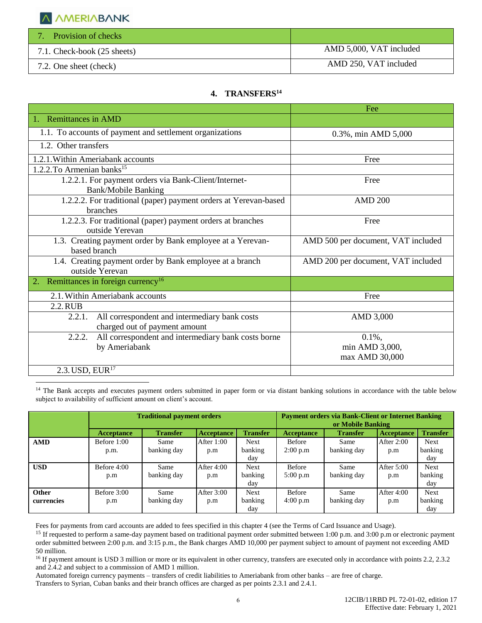

| <b>Provision of checks</b>  |                         |
|-----------------------------|-------------------------|
| 7.1. Check-book (25 sheets) | AMD 5,000, VAT included |
| 7.2. One sheet (check)      | AMD 250, VAT included   |

## **4. TRANSFERS<sup>14</sup>**

|                                                                                          | Fee                                |
|------------------------------------------------------------------------------------------|------------------------------------|
| 1. Remittances in AMD                                                                    |                                    |
| 1.1. To accounts of payment and settlement organizations                                 | 0.3%, min AMD 5,000                |
| 1.2. Other transfers                                                                     |                                    |
| 1.2.1. Within Ameriabank accounts                                                        | Free                               |
| 1.2.2. To Armenian banks <sup>15</sup>                                                   |                                    |
| 1.2.2.1. For payment orders via Bank-Client/Internet-<br><b>Bank/Mobile Banking</b>      | Free                               |
| 1.2.2.2. For traditional (paper) payment orders at Yerevan-based<br>branches             | <b>AMD 200</b>                     |
| 1.2.2.3. For traditional (paper) payment orders at branches<br>outside Yerevan           | Free                               |
| 1.3. Creating payment order by Bank employee at a Yerevan-<br>based branch               | AMD 500 per document, VAT included |
| 1.4. Creating payment order by Bank employee at a branch<br>outside Yerevan              | AMD 200 per document, VAT included |
| Remittances in foreign currency <sup>16</sup><br>2.                                      |                                    |
| 2.1. Within Ameriabank accounts                                                          | Free                               |
| 2.2. RUB                                                                                 |                                    |
| All correspondent and intermediary bank costs<br>2.2.1.<br>charged out of payment amount | AMD 3,000                          |
| All correspondent and intermediary bank costs borne<br>2.2.2.                            | $0.1\%$ ,                          |
| by Ameriabank                                                                            | min AMD 3,000,                     |
|                                                                                          | max AMD 30,000                     |
| 2.3. USD, EUR <sup>17</sup>                                                              |                                    |
|                                                                                          |                                    |

<sup>14</sup> The Bank accepts and executes payment orders submitted in paper form or via distant banking solutions in accordance with the table below subject to availability of sufficient amount on client's account.

|              | <b>Traditional payment orders</b> |                 | <b>Payment orders via Bank-Client or Internet Banking</b><br>or Mobile Banking |                 |                   |                 |                   |                 |
|--------------|-----------------------------------|-----------------|--------------------------------------------------------------------------------|-----------------|-------------------|-----------------|-------------------|-----------------|
|              | <b>Acceptance</b>                 | <b>Transfer</b> | <b>Acceptance</b>                                                              | <b>Transfer</b> | <b>Acceptance</b> | <b>Transfer</b> | <b>Acceptance</b> | <b>Transfer</b> |
| <b>AMD</b>   | Before 1:00                       | Same            | After 1:00                                                                     | <b>Next</b>     | <b>Before</b>     | Same            | After 2:00        | <b>Next</b>     |
|              | p.m.                              | banking day     | p.m                                                                            | banking         | 2:00 p.m          | banking day     | p.m               | banking         |
|              |                                   |                 |                                                                                | day             |                   |                 |                   | day             |
| <b>USD</b>   | Before $4:00$                     | Same            | After 4:00                                                                     | <b>Next</b>     | <b>Before</b>     | Same            | After $5:00$      | <b>Next</b>     |
|              | p.m                               | banking day     | p.m                                                                            | banking         | 5:00 p.m          | banking day     | p.m               | banking         |
|              |                                   |                 |                                                                                | day             |                   |                 |                   | day             |
| <b>Other</b> | Before 3:00                       | Same            | After 3:00                                                                     | <b>Next</b>     | <b>Before</b>     | Same            | After 4:00        | <b>Next</b>     |
| currencies   | p.m                               | banking day     | p.m                                                                            | banking         | 4:00 p.m          | banking day     | p.m               | banking         |
|              |                                   |                 |                                                                                | day             |                   |                 |                   | day             |

Fees for payments from card accounts are added to fees specified in this chapter 4 (see the Terms of Card Issuance and Usage).

<sup>15</sup> If requested to perform a same-day payment based on traditional payment order submitted between 1:00 p.m. and 3:00 p.m or electronic payment order submitted between 2:00 p.m. and 3:15 p.m., the Bank charges AMD 10,000 per payment subject to amount of payment not exceeding AMD 50 million.

<sup>16</sup> If payment amount is USD 3 million or more or its equivalent in other currency, transfers are executed only in accordance with points 2.2, 2.3.2 and 2.4.2 and subject to a commission of AMD 1 million.

Automated foreign currency payments – transfers of credit liabilities to Ameriabank from other banks – are free of charge. Transfers to Syrian, Cuban banks and their branch offices are charged as per points 2.3.1 and 2.4.1.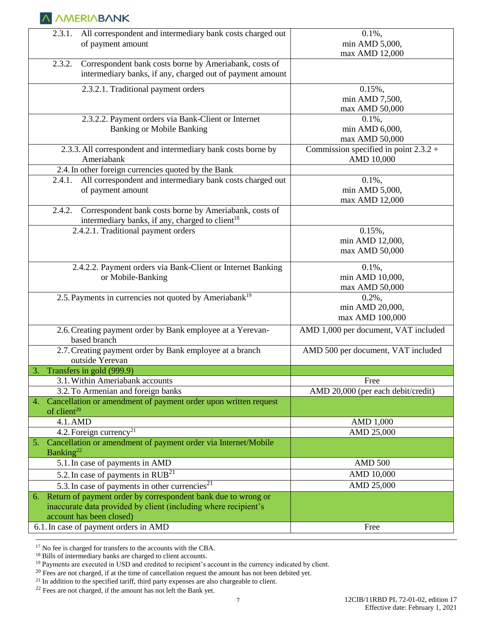| All correspondent and intermediary bank costs charged out<br>2.3.1.<br>of payment amount                                                                        | $0.1\%$ ,<br>min AMD 5,000,                           |
|-----------------------------------------------------------------------------------------------------------------------------------------------------------------|-------------------------------------------------------|
| Correspondent bank costs borne by Ameriabank, costs of<br>2.3.2.<br>intermediary banks, if any, charged out of payment amount                                   | max AMD 12,000                                        |
| 2.3.2.1. Traditional payment orders                                                                                                                             | $0.15\%$ ,<br>min AMD 7,500,<br>max AMD 50,000        |
| 2.3.2.2. Payment orders via Bank-Client or Internet<br><b>Banking or Mobile Banking</b>                                                                         | $0.1\%$ ,<br>min AMD 6,000,<br>max AMD 50,000         |
| 2.3.3. All correspondent and intermediary bank costs borne by<br>Ameriabank                                                                                     | Commission specified in point $2.3.2 +$<br>AMD 10,000 |
| 2.4. In other foreign currencies quoted by the Bank<br>All correspondent and intermediary bank costs charged out<br>2.4.1.<br>of payment amount                 | $0.1\%$ ,<br>min AMD 5,000,<br>max AMD 12,000         |
| 2.4.2.<br>Correspondent bank costs borne by Ameriabank, costs of<br>intermediary banks, if any, charged to client <sup>18</sup>                                 |                                                       |
| 2.4.2.1. Traditional payment orders                                                                                                                             | $0.15\%$ ,<br>min AMD 12,000,<br>max AMD 50,000       |
| 2.4.2.2. Payment orders via Bank-Client or Internet Banking<br>or Mobile-Banking                                                                                | $0.1\%$ ,<br>min AMD 10,000,<br>max AMD 50,000        |
| 2.5. Payments in currencies not quoted by Ameriabank <sup>19</sup>                                                                                              | $0.2\%$ ,<br>min AMD 20,000,<br>max AMD 100,000       |
| 2.6. Creating payment order by Bank employee at a Yerevan-<br>based branch                                                                                      | AMD 1,000 per document, VAT included                  |
| 2.7. Creating payment order by Bank employee at a branch<br>outside Yerevan                                                                                     | AMD 500 per document, VAT included                    |
| Transfers in gold (999.9)<br>3.                                                                                                                                 |                                                       |
| 3.1. Within Ameriabank accounts                                                                                                                                 | Free                                                  |
| 3.2. To Armenian and foreign banks                                                                                                                              | AMD 20,000 (per each debit/credit)                    |
| 4. Cancellation or amendment of payment order upon written request<br>of client $^{20}$                                                                         |                                                       |
| 4.1. AMD                                                                                                                                                        | AMD 1,000                                             |
| 4.2. Foreign currency <sup>21</sup>                                                                                                                             | AMD 25,000                                            |
| Cancellation or amendment of payment order via Internet/Mobile<br>5.<br>Banking <sup>22</sup>                                                                   |                                                       |
| 5.1. In case of payments in AMD                                                                                                                                 | <b>AMD 500</b>                                        |
| 5.2. In case of payments in $RUB^{21}$                                                                                                                          | AMD 10,000                                            |
| 5.3. In case of payments in other currencies <sup>21</sup>                                                                                                      | AMD 25,000                                            |
| 6. Return of payment order by correspondent bank due to wrong or<br>inaccurate data provided by client (including where recipient's<br>account has been closed) |                                                       |
| 6.1. In case of payment orders in AMD                                                                                                                           | Free                                                  |

<sup>17</sup> No fee is charged for transfers to the accounts with the CBA.

<sup>18</sup> Bills of intermediary banks are charged to client accounts.

<sup>&</sup>lt;sup>19</sup> Payments are executed in USD and credited to recipient's account in the currency indicated by client.

 $20$  Fees are not charged, if at the time of cancellation request the amount has not been debited yet.

<sup>&</sup>lt;sup>21</sup> In addition to the specified tariff, third party expenses are also chargeable to client.

 $22$  Fees are not charged, if the amount has not left the Bank yet.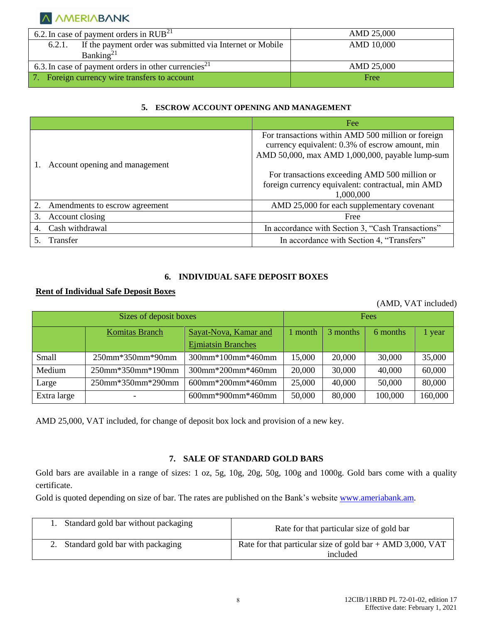

| 6.2. In case of payment orders in $RUB^{21}$                        | AMD 25,000 |
|---------------------------------------------------------------------|------------|
| If the payment order was submitted via Internet or Mobile<br>6.2.1. | AMD 10,000 |
| Banking <sup>21</sup>                                               |            |
| 6.3. In case of payment orders in other currencies <sup>21</sup>    | AMD 25,000 |
| Foreign currency wire transfers to account                          | Free       |

#### **5. ESCROW ACCOUNT OPENING AND MANAGEMENT**

|    |                                | Fee                                                                                                                                                      |
|----|--------------------------------|----------------------------------------------------------------------------------------------------------------------------------------------------------|
|    |                                | For transactions within AMD 500 million or foreign<br>currency equivalent: 0.3% of escrow amount, min<br>AMD 50,000, max AMD 1,000,000, payable lump-sum |
|    | Account opening and management |                                                                                                                                                          |
|    |                                | For transactions exceeding AMD 500 million or                                                                                                            |
|    |                                | foreign currency equivalent: contractual, min AMD                                                                                                        |
|    |                                | 1,000,000                                                                                                                                                |
|    | Amendments to escrow agreement | AMD 25,000 for each supplementary covenant                                                                                                               |
| 3. | Account closing                | Free                                                                                                                                                     |
|    | Cash withdrawal                | In accordance with Section 3, "Cash Transactions"                                                                                                        |
|    | Transfer                       | In accordance with Section 4, "Transfers"                                                                                                                |

## **6. INDIVIDUAL SAFE DEPOSIT BOXES**

## **Rent of Individual Safe Deposit Boxes**

(AMD, VAT included)

| Sizes of deposit boxes |                   |                           | Fees   |          |          |         |
|------------------------|-------------------|---------------------------|--------|----------|----------|---------|
|                        | Komitas Branch    | Sayat-Nova, Kamar and     | month  | 3 months | 6 months | year    |
|                        |                   | <b>Ejmiatsin Branches</b> |        |          |          |         |
| <b>Small</b>           | 250mm*350mm*90mm  | 300mm*100mm*460mm         | 15,000 | 20,000   | 30,000   | 35,000  |
| Medium                 | 250mm*350mm*190mm | 300mm*200mm*460mm         | 20,000 | 30,000   | 40,000   | 60,000  |
| Large                  | 250mm*350mm*290mm | 600mm*200mm*460mm         | 25,000 | 40,000   | 50,000   | 80,000  |
| Extra large            |                   | 600mm*900mm*460mm         | 50,000 | 80,000   | 100,000  | 160,000 |

AMD 25,000, VAT included, for change of deposit box lock and provision of a new key.

#### **7. SALE OF STANDARD GOLD BARS**

Gold bars are available in a range of sizes: 1 oz, 5g, 10g, 20g, 50g, 100g and 1000g. Gold bars come with a quality certificate.

Gold is quoted depending on size of bar. The rates are published on the Bank's website [www.ameriabank.am.](http://www.ameriabank.am/)

| 1. Standard gold bar without packaging | Rate for that particular size of gold bar                              |
|----------------------------------------|------------------------------------------------------------------------|
| 2. Standard gold bar with packaging    | Rate for that particular size of gold bar + AMD 3,000, VAT<br>included |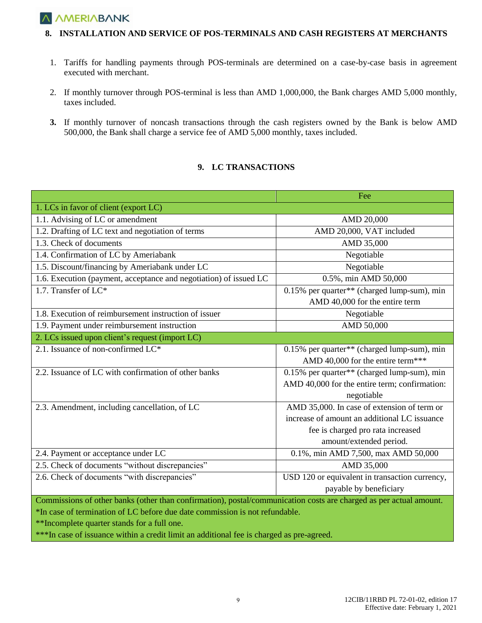## **A AMERIABANK**

#### **8. INSTALLATION AND SERVICE OF POS-TERMINALS AND CASH REGISTERS AT MERCHANTS**

- 1. Tariffs for handling payments through POS-terminals are determined on a case-by-case basis in agreement executed with merchant.
- 2. If monthly turnover through POS-terminal is less than AMD 1,000,000, the Bank charges AMD 5,000 monthly, taxes included.
- **3.** If monthly turnover of noncash transactions through the cash registers owned by the Bank is below AMD 500,000, the Bank shall charge a service fee of AMD 5,000 monthly, taxes included.

#### **9. LC TRANSACTIONS**

|                                                                                                                    | Fee                                            |  |  |  |  |
|--------------------------------------------------------------------------------------------------------------------|------------------------------------------------|--|--|--|--|
| 1. LCs in favor of client (export LC)                                                                              |                                                |  |  |  |  |
| 1.1. Advising of LC or amendment                                                                                   | AMD 20,000                                     |  |  |  |  |
| 1.2. Drafting of LC text and negotiation of terms                                                                  | AMD 20,000, VAT included                       |  |  |  |  |
| 1.3. Check of documents                                                                                            | AMD 35,000                                     |  |  |  |  |
| 1.4. Confirmation of LC by Ameriabank                                                                              | Negotiable                                     |  |  |  |  |
| 1.5. Discount/financing by Ameriabank under LC                                                                     | Negotiable                                     |  |  |  |  |
| 1.6. Execution (payment, acceptance and negotiation) of issued LC                                                  | 0.5%, min AMD 50,000                           |  |  |  |  |
| 1.7. Transfer of $LC^*$                                                                                            | 0.15% per quarter** (charged lump-sum), min    |  |  |  |  |
|                                                                                                                    | AMD 40,000 for the entire term                 |  |  |  |  |
| 1.8. Execution of reimbursement instruction of issuer                                                              | Negotiable                                     |  |  |  |  |
| 1.9. Payment under reimbursement instruction                                                                       | AMD 50,000                                     |  |  |  |  |
| 2. LCs issued upon client's request (import LC)                                                                    |                                                |  |  |  |  |
| 2.1. Issuance of non-confirmed LC*                                                                                 | 0.15% per quarter** (charged lump-sum), min    |  |  |  |  |
|                                                                                                                    | AMD 40,000 for the entire term***              |  |  |  |  |
| 2.2. Issuance of LC with confirmation of other banks                                                               | 0.15% per quarter** (charged lump-sum), min    |  |  |  |  |
|                                                                                                                    | AMD 40,000 for the entire term; confirmation:  |  |  |  |  |
|                                                                                                                    | negotiable                                     |  |  |  |  |
| 2.3. Amendment, including cancellation, of LC                                                                      | AMD 35,000. In case of extension of term or    |  |  |  |  |
|                                                                                                                    | increase of amount an additional LC issuance   |  |  |  |  |
|                                                                                                                    | fee is charged pro rata increased              |  |  |  |  |
|                                                                                                                    | amount/extended period.                        |  |  |  |  |
| 2.4. Payment or acceptance under LC                                                                                | 0.1%, min AMD 7,500, max AMD 50,000            |  |  |  |  |
| 2.5. Check of documents "without discrepancies"                                                                    | AMD 35,000                                     |  |  |  |  |
| 2.6. Check of documents "with discrepancies"                                                                       | USD 120 or equivalent in transaction currency, |  |  |  |  |
|                                                                                                                    | payable by beneficiary                         |  |  |  |  |
| Commissions of other banks (other than confirmation), postal/communication costs are charged as per actual amount. |                                                |  |  |  |  |
| *In case of termination of LC before due date commission is not refundable.                                        |                                                |  |  |  |  |
| **Incomplete quarter stands for a full one.                                                                        |                                                |  |  |  |  |

\*\*\*In case of issuance within a credit limit an additional fee is charged as pre-agreed.